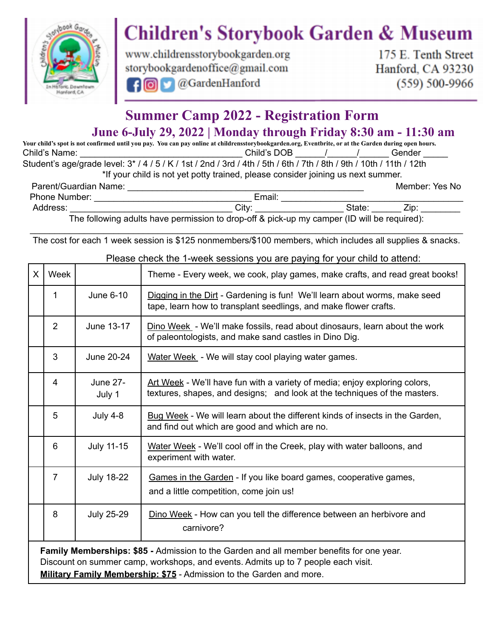

## **Children's Storybook Garden & Museum**

www.childrensstorybookgarden.org storybookgardenoffice@gmail.com **O**GardenHanford Toll

175 E. Tenth Street Hanford, CA 93230  $(559) 500 - 9966$ 

## **Summer Camp 2022 - Registration Form June 6-July 29, 2022 | Monday through Friday 8:30 am - 11:30 am**

Your child's spot is not confirmed until you pay. You can pay online at childrensstorybookgarden.org, Eventbrite, or at the Garden during open hours. Child's Name: \_\_\_\_\_\_\_\_\_\_\_\_\_\_\_\_\_\_\_\_\_\_\_\_\_\_\_\_\_\_\_\_\_Child's DOB \_\_\_\_\_\_\_/ \_\_\_\_\_\_\_\_\_\_\_\_ Gender \_ Student's age/grade level: 3\* / 4 / 5 / K / 1st / 2nd / 3rd / 4th / 5th / 6th / 7th / 8th / 9th / 10th / 11th / 12th \*If your child is not yet potty trained, please consider joining us next summer.

| Parent/Guardian Name: |                                                                                                  | Member: Yes No |      |
|-----------------------|--------------------------------------------------------------------------------------------------|----------------|------|
| <b>Phone Number:</b>  | Email:                                                                                           |                |      |
| Address:              | Citv                                                                                             | State          | Zip: |
|                       | The following adulte have nermission to drop off $\ell$ pick up my camper (ID will be required): |                |      |

The following adults have permission to drop-off & pick-up my camper (ID will be required):

\_\_\_\_\_\_\_\_\_\_\_\_\_\_\_\_\_\_\_\_\_\_\_\_\_\_\_\_\_\_\_\_\_\_\_\_\_\_\_\_\_\_\_\_\_\_\_\_\_\_\_\_\_\_\_\_\_\_\_\_\_\_\_\_\_\_\_\_\_\_\_\_\_\_\_\_\_\_\_\_\_\_\_\_\_\_\_\_ The cost for each 1 week session is \$125 nonmembers/\$100 members, which includes all supplies & snacks.

| $\mathsf{X}$ | Week                                                                                                                                                                                                                                                  |                           | Theme - Every week, we cook, play games, make crafts, and read great books!                                                                             |  |  |  |
|--------------|-------------------------------------------------------------------------------------------------------------------------------------------------------------------------------------------------------------------------------------------------------|---------------------------|---------------------------------------------------------------------------------------------------------------------------------------------------------|--|--|--|
|              | 1                                                                                                                                                                                                                                                     | June 6-10                 | Digging in the Dirt - Gardening is fun! We'll learn about worms, make seed<br>tape, learn how to transplant seedlings, and make flower crafts.          |  |  |  |
|              | $\overline{2}$                                                                                                                                                                                                                                        | June 13-17                | Dino Week - We'll make fossils, read about dinosaurs, learn about the work<br>of paleontologists, and make sand castles in Dino Dig.                    |  |  |  |
|              | 3                                                                                                                                                                                                                                                     | June 20-24                | Water Week - We will stay cool playing water games.                                                                                                     |  |  |  |
|              | 4                                                                                                                                                                                                                                                     | <b>June 27-</b><br>July 1 | Art Week - We'll have fun with a variety of media; enjoy exploring colors,<br>textures, shapes, and designs; and look at the techniques of the masters. |  |  |  |
|              | 5                                                                                                                                                                                                                                                     | <b>July 4-8</b>           | Bug Week - We will learn about the different kinds of insects in the Garden,<br>and find out which are good and which are no.                           |  |  |  |
|              | 6                                                                                                                                                                                                                                                     | <b>July 11-15</b>         | Water Week - We'll cool off in the Creek, play with water balloons, and<br>experiment with water.                                                       |  |  |  |
|              | $\overline{7}$                                                                                                                                                                                                                                        | <b>July 18-22</b>         | Games in the Garden - If you like board games, cooperative games,<br>and a little competition, come join us!                                            |  |  |  |
|              | 8                                                                                                                                                                                                                                                     | <b>July 25-29</b>         | Dino Week - How can you tell the difference between an herbivore and<br>carnivore?                                                                      |  |  |  |
|              | Family Memberships: \$85 - Admission to the Garden and all member benefits for one year.<br>Discount on summer camp, workshops, and events. Admits up to 7 people each visit.<br>Military Family Membership: \$75 - Admission to the Garden and more. |                           |                                                                                                                                                         |  |  |  |

Please check the 1-week sessions you are paying for your child to attend: